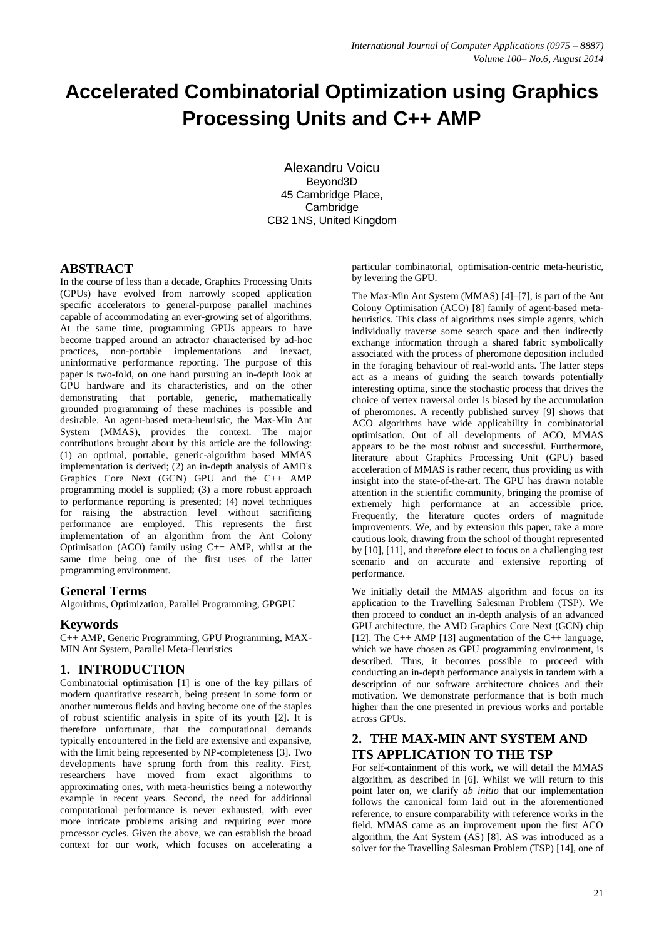# **Accelerated Combinatorial Optimization using Graphics Processing Units and C++ AMP**

Alexandru Voicu Beyond3D 45 Cambridge Place, **Cambridge** CB2 1NS, United Kingdom

# **ABSTRACT**

In the course of less than a decade, Graphics Processing Units (GPUs) have evolved from narrowly scoped application specific accelerators to general-purpose parallel machines capable of accommodating an ever-growing set of algorithms. At the same time, programming GPUs appears to have become trapped around an attractor characterised by ad-hoc practices, non-portable implementations and inexact, uninformative performance reporting. The purpose of this paper is two-fold, on one hand pursuing an in-depth look at GPU hardware and its characteristics, and on the other demonstrating that portable, generic, mathematically grounded programming of these machines is possible and desirable. An agent-based meta-heuristic, the Max-Min Ant System (MMAS), provides the context. The major contributions brought about by this article are the following: (1) an optimal, portable, generic-algorithm based MMAS implementation is derived; (2) an in-depth analysis of AMD's Graphics Core Next (GCN) GPU and the C++ AMP programming model is supplied; (3) a more robust approach to performance reporting is presented; (4) novel techniques for raising the abstraction level without sacrificing performance are employed. This represents the first implementation of an algorithm from the Ant Colony Optimisation (ACO) family using C++ AMP, whilst at the same time being one of the first uses of the latter programming environment.

# **General Terms**

Algorithms, Optimization, Parallel Programming, GPGPU

## **Keywords**

C++ AMP, Generic Programming, GPU Programming, MAX-MIN Ant System, Parallel Meta-Heuristics

# **1. INTRODUCTION**

Combinatorial optimisation [1] is one of the key pillars of modern quantitative research, being present in some form or another numerous fields and having become one of the staples of robust scientific analysis in spite of its youth [2]. It is therefore unfortunate, that the computational demands typically encountered in the field are extensive and expansive, with the limit being represented by NP-completeness [3]. Two developments have sprung forth from this reality. First, researchers have moved from exact algorithms to approximating ones, with meta-heuristics being a noteworthy example in recent years. Second, the need for additional computational performance is never exhausted, with ever more intricate problems arising and requiring ever more processor cycles. Given the above, we can establish the broad context for our work, which focuses on accelerating a particular combinatorial, optimisation-centric meta-heuristic, by levering the GPU.

The Max-Min Ant System (MMAS) [4]–[7], is part of the Ant Colony Optimisation (ACO) [8] family of agent-based metaheuristics. This class of algorithms uses simple agents, which individually traverse some search space and then indirectly exchange information through a shared fabric symbolically associated with the process of pheromone deposition included in the foraging behaviour of real-world ants. The latter steps act as a means of guiding the search towards potentially interesting optima, since the stochastic process that drives the choice of vertex traversal order is biased by the accumulation of pheromones. A recently published survey [9] shows that ACO algorithms have wide applicability in combinatorial optimisation. Out of all developments of ACO, MMAS appears to be the most robust and successful. Furthermore, literature about Graphics Processing Unit (GPU) based acceleration of MMAS is rather recent, thus providing us with insight into the state-of-the-art. The GPU has drawn notable attention in the scientific community, bringing the promise of extremely high performance at an accessible price. Frequently, the literature quotes orders of magnitude improvements. We, and by extension this paper, take a more cautious look, drawing from the school of thought represented by [10], [11], and therefore elect to focus on a challenging test scenario and on accurate and extensive reporting of performance.

We initially detail the MMAS algorithm and focus on its application to the Travelling Salesman Problem (TSP). We then proceed to conduct an in-depth analysis of an advanced GPU architecture, the AMD Graphics Core Next (GCN) chip [12]. The C++ AMP [13] augmentation of the C++ language, which we have chosen as GPU programming environment, is described. Thus, it becomes possible to proceed with conducting an in-depth performance analysis in tandem with a description of our software architecture choices and their motivation. We demonstrate performance that is both much higher than the one presented in previous works and portable across GPUs.

# **2. THE MAX-MIN ANT SYSTEM AND ITS APPLICATION TO THE TSP**

For self-containment of this work, we will detail the MMAS algorithm, as described in [6]. Whilst we will return to this point later on, we clarify *ab initio* that our implementation follows the canonical form laid out in the aforementioned reference, to ensure comparability with reference works in the field. MMAS came as an improvement upon the first ACO algorithm, the Ant System  $(AS)$  [8]. AS was introduced as a solver for the Travelling Salesman Problem (TSP) [14], one of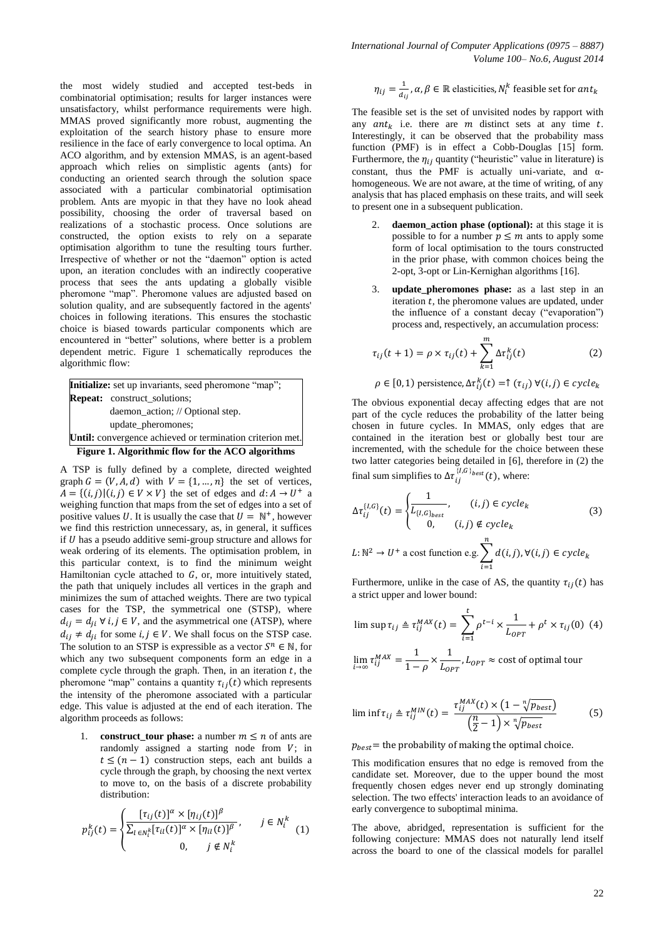*International Journal of Computer Applications (0975 – 8887) Volume 100– No.6, August 2014*

the most widely studied and accepted test-beds in combinatorial optimisation; results for larger instances were unsatisfactory, whilst performance requirements were high. MMAS proved significantly more robust, augmenting the exploitation of the search history phase to ensure more resilience in the face of early convergence to local optima. An ACO algorithm, and by extension MMAS, is an agent-based approach which relies on simplistic agents (ants) for conducting an oriented search through the solution space associated with a particular combinatorial optimisation problem. Ants are myopic in that they have no look ahead possibility, choosing the order of traversal based on realizations of a stochastic process. Once solutions are constructed, the option exists to rely on a separate optimisation algorithm to tune the resulting tours further. Irrespective of whether or not the "daemon" option is acted upon, an iteration concludes with an indirectly cooperative process that sees the ants updating a globally visible pheromone "map". Pheromone values are adjusted based on solution quality, and are subsequently factored in the agents' choices in following iterations. This ensures the stochastic choice is biased towards particular components which are encountered in "better" solutions, where better is a problem dependent metric. Figure 1 schematically reproduces the algorithmic flow:

**Figure 1. Algorithmic flow for the ACO algorithms Initialize:** set up invariants, seed pheromone "map"; **Repeat:** construct solutions: daemon\_action; // Optional step. update\_pheromones; **Until:** convergence achieved or termination criterion met.

A TSP is fully defined by a complete, directed weighted graph  $G = (V, A, d)$  with  $V = \{1, ..., n\}$  the set of vertices,  $A = \{(i, j) | (i, j) \in V \times V\}$  the set of edges and  $d: A \rightarrow U^+$  a weighing function that maps from the set of edges into a set of positive values U. It is usually the case that  $U = \mathbb{N}^+$ , however we find this restriction unnecessary, as, in general, it suffices if  $U$  has a pseudo additive semi-group structure and allows for weak ordering of its elements. The optimisation problem, in this particular context, is to find the minimum weight Hamiltonian cycle attached to  $G$ , or, more intuitively stated, the path that uniquely includes all vertices in the graph and minimizes the sum of attached weights. There are two typical cases for the TSP, the symmetrical one (STSP), where  $d_{ij} = d_{ji} \forall i, j \in V$ , and the asymmetrical one (ATSP), where  $d_{ij} \neq d_{ji}$  for some  $i, j \in V$ . We shall focus on the STSP case. The solution to an STSP is expressible as a vector  $S^n \in \mathbb{N}$ , for which any two subsequent components form an edge in a complete cycle through the graph. Then, in an iteration  $t$ , the pheromone "map" contains a quantity  $\tau_{ii}(t)$  which represents the intensity of the pheromone associated with a particular edge. This value is adjusted at the end of each iteration. The algorithm proceeds as follows:

1. **construct\_tour phase:** a number  $m \le n$  of ants are randomly assigned a starting node from  $V$ ; in  $t \leq (n-1)$  construction steps, each ant builds a cycle through the graph, by choosing the next vertex to move to, on the basis of a discrete probability distribution:

$$
p_{ij}^k(t) = \begin{cases} \frac{[\tau_{ij}(t)]^\alpha \times [\eta_{ij}(t)]^\beta}{\sum_{l \in N_i^k} [\tau_{il}(t)]^\alpha \times [\eta_{il}(t)]^\beta}, & j \in N_i^k\\ 0, & j \notin N_i^k \end{cases}
$$
(1)

$$
\eta_{ij} = \frac{1}{d_{ij}}, \alpha, \beta \in \mathbb{R} \text{ elasticities}, N_i^k \text{ feasible set for } ant_k
$$

The feasible set is the set of unvisited nodes by rapport with any  $ant_k$  i.e. there are m distinct sets at any time t. Interestingly, it can be observed that the probability mass function (PMF) is in effect a Cobb-Douglas [15] form. Furthermore, the  $\eta_{ij}$  quantity ("heuristic" value in literature) is constant, thus the PMF is actually uni-variate, and  $\alpha$ homogeneous. We are not aware, at the time of writing, of any analysis that has placed emphasis on these traits, and will seek to present one in a subsequent publication.

- 2. **daemon\_action phase (optional):** at this stage it is possible to for a number  $p \leq m$  ants to apply some form of local optimisation to the tours constructed in the prior phase, with common choices being the 2-opt, 3-opt or Lin-Kernighan algorithms [16].
- 3. **update\_pheromones phase:** as a last step in an iteration  $t$ , the pheromone values are updated, under the influence of a constant decay ("evaporation") process and, respectively, an accumulation process:

$$
\tau_{ij}(t+1) = \rho \times \tau_{ij}(t) + \sum_{k=1}^{m} \Delta \tau_{ij}^k(t)
$$
 (2)

$$
\rho \in [0, 1)
$$
 persistence,  $\Delta \tau_{ij}^k(t) = \uparrow (\tau_{ij}) \ \forall (i, j) \in cycle_k$ 

The obvious exponential decay affecting edges that are not part of the cycle reduces the probability of the latter being chosen in future cycles. In MMAS, only edges that are contained in the iteration best or globally best tour are incremented, with the schedule for the choice between these two latter categories being detailed in [6], therefore in (2) the final sum simplifies to  $\Delta\tau^{}_{i}$  $\{I,G\}_{best}(t)$ , where:

$$
\Delta \tau_{ij}^{\{I,G\}}(t) = \begin{cases}\n1 & (i,j) \in cycle_k \\
\overline{L_{\{I,G\}_{best}}} & (i,j) \notin cycle_k \\
0, & (i,j) \notin cycle_k\n\end{cases}
$$
\n
$$
L: \mathbb{N}^2 \to U^+ \text{ a cost function e.g.} \sum_{i=1}^n d(i,j), \forall (i,j) \in cycle_k
$$
\n
$$
(3)
$$

Furthermore, unlike in the case of AS, the quantity  $\tau_{ii}(t)$  has a strict upper and lower bound:

$$
\limsup \tau_{ij} \triangleq \tau_{ij}^{MAX}(t) = \sum_{i=1}^{t} \rho^{t-i} \times \frac{1}{L_{OPT}} + \rho^t \times \tau_{ij}(0)
$$
 (4)

$$
\lim_{i \to \infty} \tau_{ij}^{MAX} = \frac{1}{1 - \rho} \times \frac{1}{L_{OPT}}, L_{OPT} \approx \text{cost of optimal tour}
$$

$$
\liminf \tau_{ij} \triangleq \tau_{ij}^{MIN}(t) = \frac{\tau_{ij}^{MAX}(t) \times (1 - \sqrt[n]{p_{best}})}{\left(\frac{n}{2} - 1\right) \times \sqrt[n]{p_{best}}}
$$
(5)

 $p_{best}$  = the probability of making the optimal choice.

This modification ensures that no edge is removed from the candidate set. Moreover, due to the upper bound the most frequently chosen edges never end up strongly dominating selection. The two effects' interaction leads to an avoidance of early convergence to suboptimal minima.

The above, abridged, representation is sufficient for the following conjecture: MMAS does not naturally lend itself across the board to one of the classical models for parallel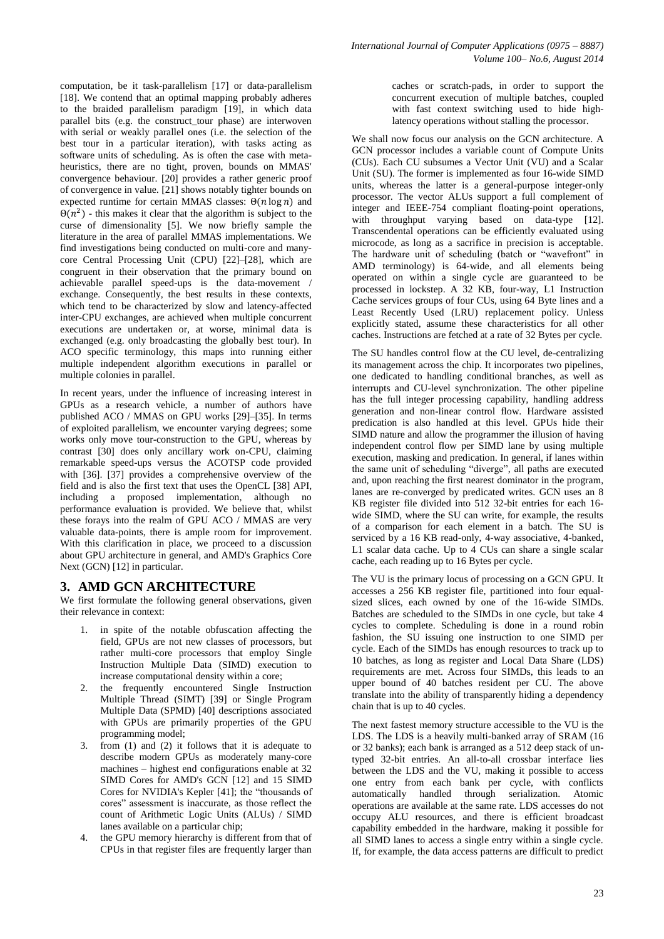computation, be it task-parallelism [17] or data-parallelism [18]. We contend that an optimal mapping probably adheres to the braided parallelism paradigm [19], in which data parallel bits (e.g. the construct\_tour phase) are interwoven with serial or weakly parallel ones (i.e. the selection of the best tour in a particular iteration), with tasks acting as software units of scheduling. As is often the case with metaheuristics, there are no tight, proven, bounds on MMAS' convergence behaviour. [20] provides a rather generic proof of convergence in value. [21] shows notably tighter bounds on expected runtime for certain MMAS classes:  $\Theta(n \log n)$  and  $\Theta(n^2)$  - this makes it clear that the algorithm is subject to the curse of dimensionality [5]. We now briefly sample the literature in the area of parallel MMAS implementations. We find investigations being conducted on multi-core and manycore Central Processing Unit (CPU) [22]–[28], which are congruent in their observation that the primary bound on achievable parallel speed-ups is the data-movement / exchange. Consequently, the best results in these contexts, which tend to be characterized by slow and latency-affected inter-CPU exchanges, are achieved when multiple concurrent executions are undertaken or, at worse, minimal data is exchanged (e.g. only broadcasting the globally best tour). In ACO specific terminology, this maps into running either multiple independent algorithm executions in parallel or multiple colonies in parallel.

In recent years, under the influence of increasing interest in GPUs as a research vehicle, a number of authors have published ACO / MMAS on GPU works [29]–[35]. In terms of exploited parallelism, we encounter varying degrees; some works only move tour-construction to the GPU, whereas by contrast [30] does only ancillary work on-CPU, claiming remarkable speed-ups versus the ACOTSP code provided with [36]. [37] provides a comprehensive overview of the field and is also the first text that uses the OpenCL [38] API, including a proposed implementation, although no performance evaluation is provided. We believe that, whilst these forays into the realm of GPU ACO / MMAS are very valuable data-points, there is ample room for improvement. With this clarification in place, we proceed to a discussion about GPU architecture in general, and AMD's Graphics Core Next (GCN) [12] in particular.

# **3. AMD GCN ARCHITECTURE**

We first formulate the following general observations, given their relevance in context:

- 1. in spite of the notable obfuscation affecting the field, GPUs are not new classes of processors, but rather multi-core processors that employ Single Instruction Multiple Data (SIMD) execution to increase computational density within a core;
- 2. the frequently encountered Single Instruction Multiple Thread (SIMT) [39] or Single Program Multiple Data (SPMD) [40] descriptions associated with GPUs are primarily properties of the GPU programming model;
- 3. from (1) and (2) it follows that it is adequate to describe modern GPUs as moderately many-core machines – highest end configurations enable at 32 SIMD Cores for AMD's GCN [12] and 15 SIMD Cores for NVIDIA's Kepler [41]; the "thousands of cores" assessment is inaccurate, as those reflect the count of Arithmetic Logic Units (ALUs) / SIMD lanes available on a particular chip;
- 4. the GPU memory hierarchy is different from that of CPUs in that register files are frequently larger than

caches or scratch-pads, in order to support the concurrent execution of multiple batches, coupled with fast context switching used to hide highlatency operations without stalling the processor.

We shall now focus our analysis on the GCN architecture. A GCN processor includes a variable count of Compute Units (CUs). Each CU subsumes a Vector Unit (VU) and a Scalar Unit (SU). The former is implemented as four 16-wide SIMD units, whereas the latter is a general-purpose integer-only processor. The vector ALUs support a full complement of integer and IEEE-754 compliant floating-point operations, with throughput varying based on data-type [12]. Transcendental operations can be efficiently evaluated using microcode, as long as a sacrifice in precision is acceptable. The hardware unit of scheduling (batch or "wavefront" in AMD terminology) is 64-wide, and all elements being operated on within a single cycle are guaranteed to be processed in lockstep. A 32 KB, four-way, L1 Instruction Cache services groups of four CUs, using 64 Byte lines and a Least Recently Used (LRU) replacement policy. Unless explicitly stated, assume these characteristics for all other caches. Instructions are fetched at a rate of 32 Bytes per cycle.

The SU handles control flow at the CU level, de-centralizing its management across the chip. It incorporates two pipelines, one dedicated to handling conditional branches, as well as interrupts and CU-level synchronization. The other pipeline has the full integer processing capability, handling address generation and non-linear control flow. Hardware assisted predication is also handled at this level. GPUs hide their SIMD nature and allow the programmer the illusion of having independent control flow per SIMD lane by using multiple execution, masking and predication. In general, if lanes within the same unit of scheduling "diverge", all paths are executed and, upon reaching the first nearest dominator in the program, lanes are re-converged by predicated writes. GCN uses an 8 KB register file divided into 512 32-bit entries for each 16 wide SIMD, where the SU can write, for example, the results of a comparison for each element in a batch. The SU is serviced by a 16 KB read-only, 4-way associative, 4-banked, L1 scalar data cache. Up to 4 CUs can share a single scalar cache, each reading up to 16 Bytes per cycle.

The VU is the primary locus of processing on a GCN GPU. It accesses a 256 KB register file, partitioned into four equalsized slices, each owned by one of the 16-wide SIMDs. Batches are scheduled to the SIMDs in one cycle, but take 4 cycles to complete. Scheduling is done in a round robin fashion, the SU issuing one instruction to one SIMD per cycle. Each of the SIMDs has enough resources to track up to 10 batches, as long as register and Local Data Share (LDS) requirements are met. Across four SIMDs, this leads to an upper bound of 40 batches resident per CU. The above translate into the ability of transparently hiding a dependency chain that is up to 40 cycles.

The next fastest memory structure accessible to the VU is the LDS. The LDS is a heavily multi-banked array of SRAM (16 or 32 banks); each bank is arranged as a 512 deep stack of untyped 32-bit entries. An all-to-all crossbar interface lies between the LDS and the VU, making it possible to access one entry from each bank per cycle, with conflicts automatically handled through serialization. Atomic operations are available at the same rate. LDS accesses do not occupy ALU resources, and there is efficient broadcast capability embedded in the hardware, making it possible for all SIMD lanes to access a single entry within a single cycle. If, for example, the data access patterns are difficult to predict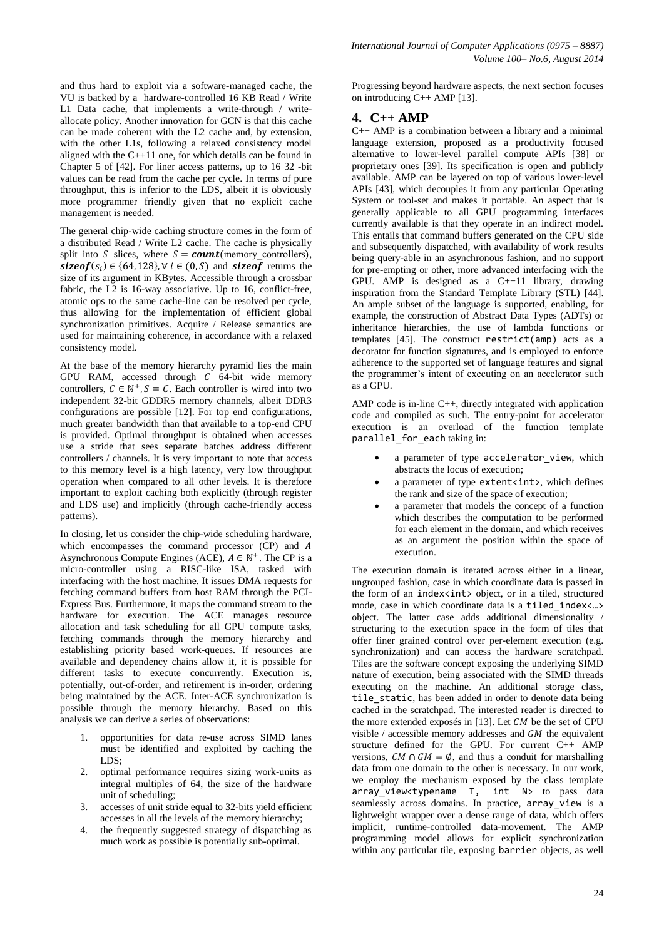and thus hard to exploit via a software-managed cache, the VU is backed by a hardware-controlled 16 KB Read / Write L1 Data cache, that implements a write-through / writeallocate policy. Another innovation for GCN is that this cache can be made coherent with the L2 cache and, by extension, with the other L1s, following a relaxed consistency model aligned with the C++11 one, for which details can be found in Chapter 5 of [42]. For liner access patterns, up to 16 32 -bit values can be read from the cache per cycle. In terms of pure throughput, this is inferior to the LDS, albeit it is obviously more programmer friendly given that no explicit cache management is needed.

The general chip-wide caching structure comes in the form of a distributed Read / Write L2 cache. The cache is physically split into S slices, where  $S = count(memory controllers)$ , sizeof( $s_i$ )  $\in$  {64, 128},  $\forall$  i  $\in$  (0, S) and sizeof returns the size of its argument in KBytes. Accessible through a crossbar fabric, the  $\overline{L2}$  is 16-way associative. Up to 16, conflict-free, atomic ops to the same cache-line can be resolved per cycle, thus allowing for the implementation of efficient global synchronization primitives. Acquire / Release semantics are used for maintaining coherence, in accordance with a relaxed consistency model.

At the base of the memory hierarchy pyramid lies the main GPU RAM, accessed through  $C$  64-bit wide memory controllers,  $C \in \mathbb{N}^+$ ,  $S = C$ . Each controller is wired into two independent 32-bit GDDR5 memory channels, albeit DDR3 configurations are possible [12]. For top end configurations, much greater bandwidth than that available to a top-end CPU is provided. Optimal throughput is obtained when accesses use a stride that sees separate batches address different controllers / channels. It is very important to note that access to this memory level is a high latency, very low throughput operation when compared to all other levels. It is therefore important to exploit caching both explicitly (through register and LDS use) and implicitly (through cache-friendly access patterns).

In closing, let us consider the chip-wide scheduling hardware, which encompasses the command processor (CP) and A Asynchronous Compute Engines (ACE),  $A \in \mathbb{N}^+$ . The CP is a micro-controller using a RISC-like ISA, tasked with interfacing with the host machine. It issues DMA requests for fetching command buffers from host RAM through the PCI-Express Bus. Furthermore, it maps the command stream to the hardware for execution. The ACE manages resource allocation and task scheduling for all GPU compute tasks, fetching commands through the memory hierarchy and establishing priority based work-queues. If resources are available and dependency chains allow it, it is possible for different tasks to execute concurrently. Execution is, potentially, out-of-order, and retirement is in-order, ordering being maintained by the ACE. Inter-ACE synchronization is possible through the memory hierarchy. Based on this analysis we can derive a series of observations:

- 1. opportunities for data re-use across SIMD lanes must be identified and exploited by caching the LDS:
- 2. optimal performance requires sizing work-units as integral multiples of 64, the size of the hardware unit of scheduling;
- 3. accesses of unit stride equal to 32-bits yield efficient accesses in all the levels of the memory hierarchy;
- 4. the frequently suggested strategy of dispatching as much work as possible is potentially sub-optimal.

Progressing beyond hardware aspects, the next section focuses on introducing C++ AMP [13].

# **4. C++ AMP**

C++ AMP is a combination between a library and a minimal language extension, proposed as a productivity focused alternative to lower-level parallel compute APIs [38] or proprietary ones [39]. Its specification is open and publicly available. AMP can be layered on top of various lower-level APIs [43], which decouples it from any particular Operating System or tool-set and makes it portable. An aspect that is generally applicable to all GPU programming interfaces currently available is that they operate in an indirect model. This entails that command buffers generated on the CPU side and subsequently dispatched, with availability of work results being query-able in an asynchronous fashion, and no support for pre-empting or other, more advanced interfacing with the GPU. AMP is designed as a C++11 library, drawing inspiration from the Standard Template Library (STL) [44]. An ample subset of the language is supported, enabling, for example, the construction of Abstract Data Types (ADTs) or inheritance hierarchies, the use of lambda functions or templates  $[45]$ . The construct restrict(amp) acts as a decorator for function signatures, and is employed to enforce adherence to the supported set of language features and signal the programmer's intent of executing on an accelerator such as a GPU.

AMP code is in-line C++, directly integrated with application code and compiled as such. The entry-point for accelerator execution is an overload of the function template parallel for each taking in:

- a parameter of type accelerator\_view, which abstracts the locus of execution;
- a parameter of type extent<int>, which defines the rank and size of the space of execution;
- a parameter that models the concept of a function which describes the computation to be performed for each element in the domain, and which receives as an argument the position within the space of execution.

The execution domain is iterated across either in a linear, ungrouped fashion, case in which coordinate data is passed in the form of an index<int> object, or in a tiled, structured mode, case in which coordinate data is a tiled\_index<…> object. The latter case adds additional dimensionality / structuring to the execution space in the form of tiles that offer finer grained control over per-element execution (e.g. synchronization) and can access the hardware scratchpad. Tiles are the software concept exposing the underlying SIMD nature of execution, being associated with the SIMD threads executing on the machine. An additional storage class, tile static, has been added in order to denote data being cached in the scratchpad. The interested reader is directed to the more extended exposés in [13]. Let  $CM$  be the set of CPU visible / accessible memory addresses and  $GM$  the equivalent structure defined for the GPU. For current C++ AMP versions,  $CM \cap GM = \emptyset$ , and thus a conduit for marshalling data from one domain to the other is necessary. In our work, we employ the mechanism exposed by the class template array view<typename T, int N> to pass data seamlessly across domains. In practice, array view is a lightweight wrapper over a dense range of data, which offers implicit, runtime-controlled data-movement. The AMP programming model allows for explicit synchronization within any particular tile, exposing barrier objects, as well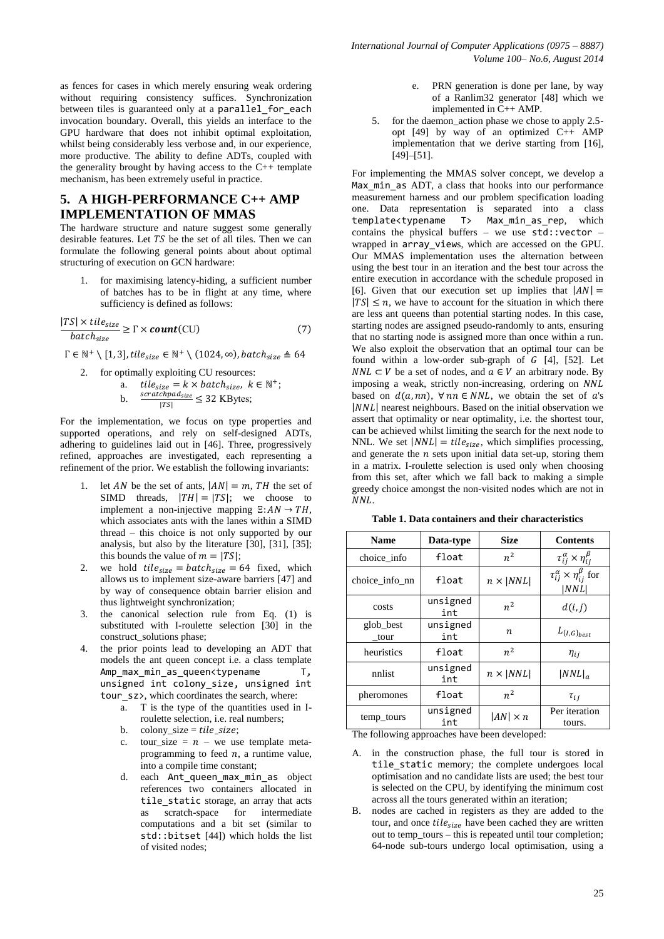as fences for cases in which merely ensuring weak ordering without requiring consistency suffices. Synchronization between tiles is guaranteed only at a parallel for each invocation boundary. Overall, this yields an interface to the GPU hardware that does not inhibit optimal exploitation, whilst being considerably less verbose and, in our experience, more productive. The ability to define ADTs, coupled with the generality brought by having access to the C++ template mechanism, has been extremely useful in practice.

# **5. A HIGH-PERFORMANCE C++ AMP IMPLEMENTATION OF MMAS**

The hardware structure and nature suggest some generally desirable features. Let  $TS$  be the set of all tiles. Then we can formulate the following general points about about optimal structuring of execution on GCN hardware:

1. for maximising latency-hiding, a sufficient number of batches has to be in flight at any time, where sufficiency is defined as follows:

$$
\frac{|TS| \times tile_{size}}{batch_{size}} \ge \Gamma \times count(CU)
$$
 (7)

 $\Gamma \in \mathbb{N}^+ \setminus [1,3]$ , tile<sub>size</sub>  $\in \mathbb{N}^+ \setminus (1024, \infty)$ , batch<sub>size</sub>  $\triangleq 64$ 

2. for optimally exploiting CU resources:

a. *tile<sub>size</sub> = k × batch<sub>size</sub>*, 
$$
k \in \mathbb{N}^+
$$
;  
b. 
$$
\frac{scratchpad_{size}}{|TS|} \leq 32
$$
 KBytes;

For the implementation, we focus on type properties and supported operations, and rely on self-designed ADTs, adhering to guidelines laid out in [46]. Three, progressively refined, approaches are investigated, each representing a refinement of the prior. We establish the following invariants:

- let AN be the set of ants,  $|AN| = m$ , TH the set of SIMD threads,  $|TH| = |TS|$ ; we choose to implement a non-injective mapping  $\Xi$ :  $AN \rightarrow TH$ , which associates ants with the lanes within a SIMD thread – this choice is not only supported by our analysis, but also by the literature [30], [31], [35]; this bounds the value of  $m = |TS|$ ;
- 2. we hold  $tile_{size} = batch_{size} = 64$  fixed, which allows us to implement size-aware barriers [47] and by way of consequence obtain barrier elision and thus lightweight synchronization;
- 3. the canonical selection rule from Eq. (1) is substituted with I-roulette selection [30] in the construct\_solutions phase;
- 4. the prior points lead to developing an ADT that models the ant queen concept i.e. a class template Amp\_max\_min\_as\_queen<typename T, unsigned int colony\_size, unsigned int tour\_sz>, which coordinates the search, where:
	- a. T is the type of the quantities used in Iroulette selection, i.e. real numbers;
	- b. colony\_size =  $tile\_size$ ;
	- c. tour\_size =  $n we$  use template metaprogramming to feed  $n$ , a runtime value, into a compile time constant;
	- d. each Ant queen max min as object references two containers allocated in tile static storage, an array that acts as scratch-space for intermediate computations and a bit set (similar to std::bitset [44]) which holds the list of visited nodes;
- e. PRN generation is done per lane, by way of a Ranlim32 generator [48] which we implemented in C++ AMP.
- 5. for the daemon\_action phase we chose to apply 2.5 opt  $[49]$  by way of an optimized  $C_{++}$  AMP implementation that we derive starting from [16], [49]–[51].

For implementing the MMAS solver concept, we develop a Max\_min\_as ADT, a class that hooks into our performance measurement harness and our problem specification loading one. Data representation is separated into a class template<typename T> Max\_min\_as\_rep, which contains the physical buffers – we use std::vector – wrapped in array views, which are accessed on the GPU. Our MMAS implementation uses the alternation between using the best tour in an iteration and the best tour across the entire execution in accordance with the schedule proposed in [6]. Given that our execution set up implies that  $|AN| =$  $|TS| \leq n$ , we have to account for the situation in which there are less ant queens than potential starting nodes. In this case, starting nodes are assigned pseudo-randomly to ants, ensuring that no starting node is assigned more than once within a run. We also exploit the observation that an optimal tour can be found within a low-order sub-graph of  $G$  [4], [52]. Let  $NNL \subset V$  be a set of nodes, and  $a \in V$  an arbitrary node. By imposing a weak, strictly non-increasing, ordering on NNL based on  $d(a, nn)$ ,  $\forall nn \in NNL$ , we obtain the set of a's  $|NNL|$  nearest neighbours. Based on the initial observation we assert that optimality or near optimality, i.e. the shortest tour, can be achieved whilst limiting the search for the next node to NNL. We set  $|NNL| = tile_{size}$ , which simplifies processing, and generate the  $n$  sets upon initial data set-up, storing them in a matrix. I-roulette selection is used only when choosing from this set, after which we fall back to making a simple greedy choice amongst the non-visited nodes which are not in NNL.

| Table 1. Data containers and their characteristics |
|----------------------------------------------------|
|----------------------------------------------------|

| <b>Name</b>       | Data-type                 |                  | <b>Contents</b>                                           |
|-------------------|---------------------------|------------------|-----------------------------------------------------------|
| choice info       | float                     | $n^2$            | $\tau_{ij}^{\alpha} \times \eta_{ij}^{\beta}$             |
| choice info nn    | $n \times  NNL $<br>float |                  | $\tau_{ij}^{\alpha} \times \eta_{ij}^{\beta}$ for<br> NNL |
| costs             | unsigned<br>int           | $n^2$            | d(i,j)                                                    |
| glob_best<br>tour | unsigned<br>int           | $\boldsymbol{n}$ | $L_{\{I,G\}_{best}}$                                      |
| heuristics        | float                     | $n^2$            | $\eta_{ii}$                                               |
| nnlist            | unsigned<br>int           | $n \times  NNL $ | $ NNL _a$                                                 |
| pheromones        | float                     | $n^2$            | $\tau_{ij}$                                               |
| temp_tours        | unsigned<br>int           | $ AN  \times n$  | Per iteration<br>tours.                                   |

The following approaches have been developed:

- A. in the construction phase, the full tour is stored in tile static memory; the complete undergoes local optimisation and no candidate lists are used; the best tour is selected on the CPU, by identifying the minimum cost across all the tours generated within an iteration;
- B. nodes are cached in registers as they are added to the tour, and once  $tile_{size}$  have been cached they are written out to temp\_tours – this is repeated until tour completion; 64-node sub-tours undergo local optimisation, using a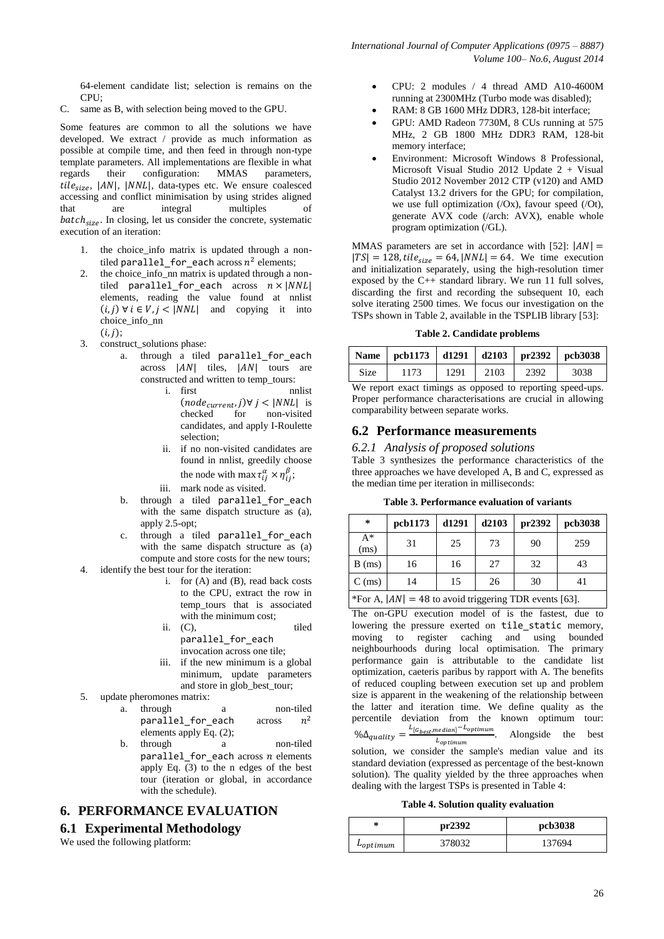64-element candidate list; selection is remains on the CPU;

C. same as B, with selection being moved to the GPU.

Some features are common to all the solutions we have developed. We extract / provide as much information as possible at compile time, and then feed in through non-type template parameters. All implementations are flexible in what regards their configuration: MMAS parameters,  $tile_{size}$ ,  $|AN|$ ,  $|NNL|$ , data-types etc. We ensure coalesced accessing and conflict minimisation by using strides aligned that are integral multiples of  $batch_{size}$ . In closing, let us consider the concrete, systematic execution of an iteration:

- 1. the choice\_info matrix is updated through a nontiled parallel\_for\_each across  $n^2$  elements;
- 2. the choice\_info\_nn matrix is updated through a nontiled parallel\_for\_each across  $n \times |NNL|$ elements, reading the value found at nnlist  $(i, j) \forall i \in V, j < |NNL|$  and copying it into choice\_info\_nn  $(i,j);$
- 3. construct\_solutions phase:
	- a. through a tiled parallel\_for\_each  $\alpha$ cross  $|AN|$  tiles,  $|AN|$  tours are constructed and written to temp\_tours:
		- i. first nnlist  $(node_{current}, j) \forall \, j < |NNL| \,$  is checked for non-visited candidates, and apply I-Roulette selection;
		- ii. if no non-visited candidates are found in nnlist, greedily choose the node with max  $\tau_{ii}^{\alpha} \times \eta_{ii}^{\beta}$ ;
		- iii. mark node as visited.
	- b. through a tiled parallel for each with the same dispatch structure as (a), apply 2.5-opt;
- c. through a tiled parallel for each with the same dispatch structure as (a) compute and store costs for the new tours; 4. identify the best tour for the iteration:
	- i. for (A) and (B), read back costs to the CPU, extract the row in temp tours that is associated with the minimum cost;
	- ii. (C), tiled parallel for each
	- invocation across one tile;
	- iii. if the new minimum is a global minimum, update parameters and store in glob best tour;
- 5. update pheromones matrix:
	- a. through a non-tiled parallel for each across  $n^2$ elements apply Eq. (2);
	- b. through a non-tiled parallel for each across  $n$  elements apply Eq. (3) to the n edges of the best tour (iteration or global, in accordance with the schedule).

# **6. PERFORMANCE EVALUATION**

# **6.1 Experimental Methodology**

We used the following platform:

- CPU: 2 modules / 4 thread AMD A10-4600M running at 2300MHz (Turbo mode was disabled);
- RAM: 8 GB 1600 MHz DDR3, 128-bit interface;
- GPU: AMD Radeon 7730M, 8 CUs running at 575 MHz, 2 GB 1800 MHz DDR3 RAM, 128-bit memory interface;
- Environment: Microsoft Windows 8 Professional, Microsoft Visual Studio 2012 Update 2 + Visual Studio 2012 November 2012 CTP (v120) and AMD Catalyst 13.2 drivers for the GPU; for compilation, we use full optimization  $(/\text{Ox})$ , favour speed  $(/\text{Ot})$ , generate  $A\overline{V}X$  code (/arch:  $A\overline{V}X$ ), enable whole program optimization (/GL).

MMAS parameters are set in accordance with [52]:  $|AN| =$  $|TS| = 128$ , tile<sub>size</sub> = 64, |NNL| = 64. We time execution and initialization separately, using the high-resolution timer exposed by the C++ standard library. We run 11 full solves, discarding the first and recording the subsequent 10, each solve iterating 2500 times. We focus our investigation on the TSPs shown in Table 2, available in the TSPLIB library [53]:

**Table 2. Candidate problems**

|             | Name   pcb1173   d1291   d2103   pr2392   pcb3038 |      |      |      |      |
|-------------|---------------------------------------------------|------|------|------|------|
| <b>Size</b> | 1173                                              | 1291 | 2103 | 2392 | 3038 |
| <b>TTT</b>  |                                                   |      |      |      |      |

We report exact timings as opposed to reporting speed-ups. Proper performance characterisations are crucial in allowing comparability between separate works.

## **6.2 Performance measurements**

*6.2.1 Analysis of proposed solutions*

Table 3 synthesizes the performance characteristics of the three approaches we have developed A, B and C, expressed as the median time per iteration in milliseconds:

**Table 3. Performance evaluation of variants**

| ∗                                                        | pcb1173 | d1291 | d2103 | pr2392 | pcb3038 |  |  |
|----------------------------------------------------------|---------|-------|-------|--------|---------|--|--|
| $A^*$<br>(ms)                                            | 31      | 25    | 73    | 90     | 259     |  |  |
| B(ms)                                                    | 16      | 16    | 27    | 32     | 43      |  |  |
| 30<br>15<br>$C$ (ms)<br>26<br>14<br>41                   |         |       |       |        |         |  |  |
| *For A, $ AN  = 48$ to avoid triggering TDR events [63]. |         |       |       |        |         |  |  |

 $\text{For A, } |AN| = 48 \text{ to avoid triggering TDR events [63].}$ 

The on-GPU execution model of is the fastest, due to lowering the pressure exerted on tile static memory, moving to register caching and using bounded neighbourhoods during local optimisation. The primary performance gain is attributable to the candidate list optimization, caeteris paribus by rapport with A. The benefits of reduced coupling between execution set up and problem size is apparent in the weakening of the relationship between the latter and iteration time. We define quality as the percentile deviation from the known optimum tour:  $\% \Delta_{quality} = \frac{L}{t}$  $L_{optimum}$ . Alongside the best solution, we consider the sample's median value and its

standard deviation (expressed as percentage of the best-known solution). The quality yielded by the three approaches when dealing with the largest TSPs is presented in Table 4:

**Table 4. Solution quality evaluation**

| ∗             | pr2392 | pcb3038 |
|---------------|--------|---------|
| $L_{optimum}$ | 378032 | 137694  |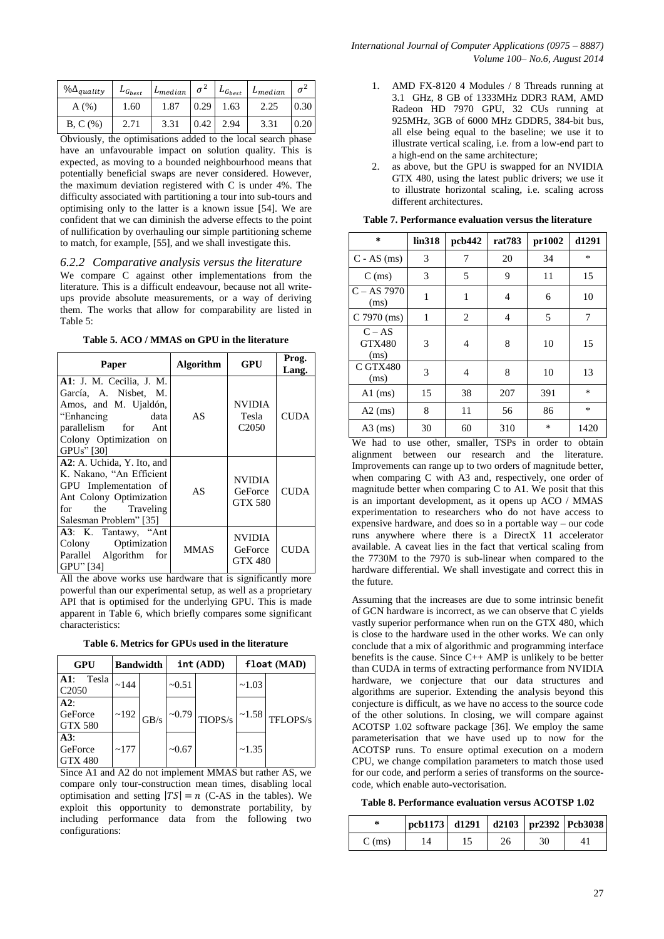| $\% \Delta_{quality}$ | $L_{G_{best}}$ | $L_{median}$ | $\sigma^2$ | $L_{G_{best}}$ | $L_{median}$ | $\sigma^2$ |
|-----------------------|----------------|--------------|------------|----------------|--------------|------------|
| A(%)                  | 1.60           | 1.87         | 0.29       | 1.63           | 2.25         | 0.30       |
| B, C (%)              | 2.71           | 3.31         | 0.42       | 2.94           | 3.31         | 0.20       |

Obviously, the optimisations added to the local search phase have an unfavourable impact on solution quality. This is expected, as moving to a bounded neighbourhood means that potentially beneficial swaps are never considered. However, the maximum deviation registered with C is under 4%. The difficulty associated with partitioning a tour into sub-tours and optimising only to the latter is a known issue [54]. We are confident that we can diminish the adverse effects to the point of nullification by overhauling our simple partitioning scheme to match, for example, [55], and we shall investigate this.

#### *6.2.2 Comparative analysis versus the literature*

We compare C against other implementations from the literature. This is a difficult endeavour, because not all writeups provide absolute measurements, or a way of deriving them. The works that allow for comparability are listed in Table 5:

**Table 5. ACO / MMAS on GPU in the literature**

| Paper                                                                                                                                                                    | <b>Algorithm</b> | <b>GPU</b>                                        | Prog.<br>Lang. |
|--------------------------------------------------------------------------------------------------------------------------------------------------------------------------|------------------|---------------------------------------------------|----------------|
| <b>A1</b> : J. M. Cecilia, J. M.<br>García, A. Nisbet, M.<br>Amos, and M. Ujaldón,<br>"Enhancing"<br>data<br>parallelism for Ant<br>Colony Optimization on<br>GPUs" [30] | AS               | NVIDIA<br>Tesla<br>C <sub>2050</sub>              | <b>CUDA</b>    |
| A2: A. Uchida, Y. Ito, and<br>K. Nakano, "An Efficient<br>GPU Implementation of<br>Ant Colony Optimization<br>for<br>the Traveling<br>Salesman Problem" [35]             | AS               | <b>NVIDIA</b><br>GeForce<br><b>GTX 580</b>        | <b>CUDA</b>    |
| A3: K. Tantawy, "Ant<br>Colony Optimization<br>Parallel Algorithm for<br>GPU" [34]                                                                                       | <b>MMAS</b>      | <b>NVIDIA</b><br><b>GeForce</b><br><b>GTX 480</b> | <b>CUDA</b>    |

All the above works use hardware that is significantly more powerful than our experimental setup, as well as a proprietary API that is optimised for the underlying GPU. This is made apparent in Table 6, which briefly compares some significant characteristics:

|  |  |  |  |  | Table 6. Metrics for GPUs used in the literature |
|--|--|--|--|--|--------------------------------------------------|
|--|--|--|--|--|--------------------------------------------------|

| GPU                                  |      | <b>Bandwidth</b> |              | int (ADD)           | float (MAD) |          |
|--------------------------------------|------|------------------|--------------|---------------------|-------------|----------|
| Tesla<br>$A1$ :<br>C <sub>2050</sub> | ~144 |                  | $~1$ $-0.51$ |                     | ~1.03       |          |
| A2:<br>GeForce<br><b>GTX 580</b>     | ~192 | GB/s             |              | $\sim 0.79$ TIOPS/s | ~1.58       | TFLOPS/s |
| A3:<br>GeForce<br><b>GTX 480</b>     | ~177 |                  | ~10.67       |                     | ~1.35       |          |

Since A1 and A2 do not implement MMAS but rather AS, we compare only tour-construction mean times, disabling local optimisation and setting  $|TS| = n$  (C-AS in the tables). We exploit this opportunity to demonstrate portability, by including performance data from the following two configurations:

- 1. AMD FX-8120 4 Modules / 8 Threads running at 3.1 GHz, 8 GB of 1333MHz DDR3 RAM, AMD Radeon HD 7970 GPU, 32 CUs running at 925MHz, 3GB of 6000 MHz GDDR5, 384-bit bus, all else being equal to the baseline; we use it to illustrate vertical scaling, i.e. from a low-end part to a high-end on the same architecture;
- 2. as above, but the GPU is swapped for an NVIDIA GTX 480, using the latest public drivers; we use it to illustrate horizontal scaling, i.e. scaling across different architectures.

| *                                 | lin318       | pcb442 | rat783 | pr1002 | d1291  |
|-----------------------------------|--------------|--------|--------|--------|--------|
| $C - AS$ (ms)                     | 3            | 7      | 20     | 34     | $\ast$ |
| $C$ (ms)                          | 3            | 5      | 9      | 11     | 15     |
| $C - AS 7970$<br>(ms)             | 1            | 1      | 4      | 6      | 10     |
| C 7970 (ms)                       | $\mathbf{1}$ | 2      | 4      | 5      | 7      |
| $C - AS$<br><b>GTX480</b><br>(ms) | 3            | 4      | 8      | 10     | 15     |
| C GTX480<br>(ms)                  | 3            | 4      | 8      | 10     | 13     |
| $AI$ (ms)                         | 15           | 38     | 207    | 391    | $\ast$ |
| $A2$ (ms)                         | 8            | 11     | 56     | 86     | $\ast$ |
| $A3$ (ms)                         | 30           | 60     | 310    | $\ast$ | 1420   |

**Table 7. Performance evaluation versus the literature**

We had to use other, smaller, TSPs in order to obtain alignment between our research and the literature. Improvements can range up to two orders of magnitude better, when comparing C with A3 and, respectively, one order of magnitude better when comparing C to A1. We posit that this is an important development, as it opens up ACO / MMAS experimentation to researchers who do not have access to expensive hardware, and does so in a portable way – our code runs anywhere where there is a DirectX 11 accelerator available. A caveat lies in the fact that vertical scaling from the 7730M to the 7970 is sub-linear when compared to the hardware differential. We shall investigate and correct this in the future.

Assuming that the increases are due to some intrinsic benefit of GCN hardware is incorrect, as we can observe that C yields vastly superior performance when run on the GTX 480, which is close to the hardware used in the other works. We can only conclude that a mix of algorithmic and programming interface benefits is the cause. Since  $C_{++}$  AMP is unlikely to be better than CUDA in terms of extracting performance from NVIDIA hardware, we conjecture that our data structures and algorithms are superior. Extending the analysis beyond this conjecture is difficult, as we have no access to the source code of the other solutions. In closing, we will compare against ACOTSP 1.02 software package [36]. We employ the same parameterisation that we have used up to now for the ACOTSP runs. To ensure optimal execution on a modern CPU, we change compilation parameters to match those used for our code, and perform a series of transforms on the sourcecode, which enable auto-vectorisation.

**Table 8. Performance evaluation versus ACOTSP 1.02**

| *        | $\vert$ pcb1173 d1291 d2103 $\vert$ pr2392 Pcb3038 |    |    |  |
|----------|----------------------------------------------------|----|----|--|
| $C$ (ms) | 14                                                 | 26 | 30 |  |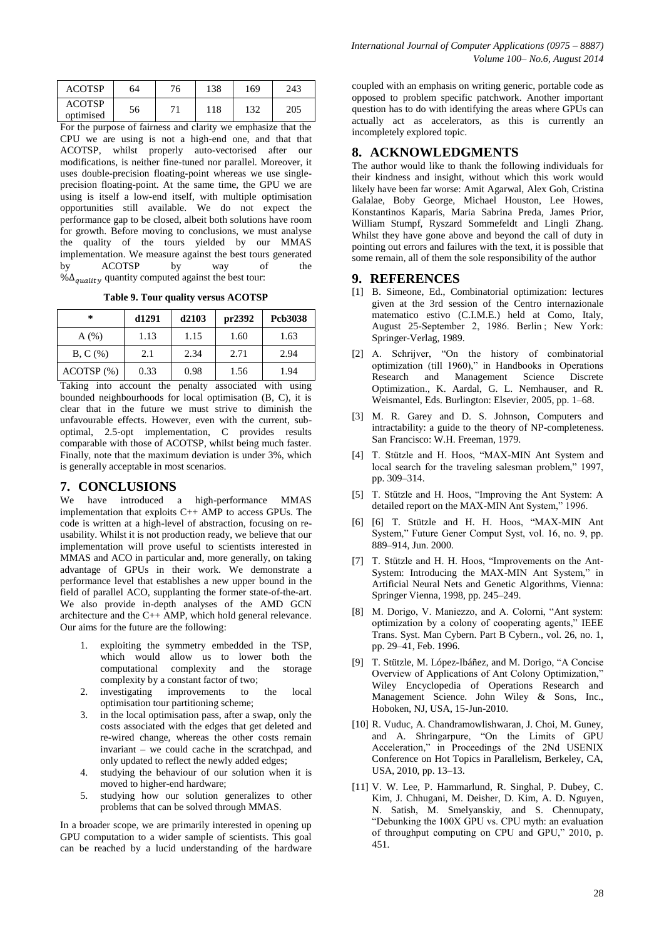| ACOTSP                     | 64 | 76 | 138 | 169 | 243 |
|----------------------------|----|----|-----|-----|-----|
| <b>ACOTSP</b><br>optimised | 56 | 71 | 118 | 132 | 205 |

For the purpose of fairness and clarity we emphasize that the CPU we are using is not a high-end one, and that that ACOTSP, whilst properly auto-vectorised after our modifications, is neither fine-tuned nor parallel. Moreover, it uses double-precision floating-point whereas we use singleprecision floating-point. At the same time, the GPU we are using is itself a low-end itself, with multiple optimisation opportunities still available. We do not expect the performance gap to be closed, albeit both solutions have room for growth. Before moving to conclusions, we must analyse the quality of the tours yielded by our MMAS implementation. We measure against the best tours generated by ACOTSP by way of the  $\% \Delta_{quality}$  quantity computed against the best tour:

**Table 9. Tour quality versus ACOTSP**

| ∗         | d <sub>1291</sub> | d2103 | pr2392 | Pcb3038 |
|-----------|-------------------|-------|--------|---------|
| A(%)      | 1.13              | 1.15  | 1.60   | 1.63    |
| B, C (%)  | 2.1               | 2.34  | 2.71   | 2.94    |
| ACOTSP(%) | 0.33              | 0.98  | 1.56   | 1.94    |

Taking into account the penalty associated with using bounded neighbourhoods for local optimisation (B, C), it is clear that in the future we must strive to diminish the unfavourable effects. However, even with the current, suboptimal, 2.5-opt implementation, C provides results comparable with those of ACOTSP, whilst being much faster. Finally, note that the maximum deviation is under 3%, which is generally acceptable in most scenarios.

### **7. CONCLUSIONS**

We have introduced a high-performance MMAS implementation that exploits C++ AMP to access GPUs. The code is written at a high-level of abstraction, focusing on reusability. Whilst it is not production ready, we believe that our implementation will prove useful to scientists interested in MMAS and ACO in particular and, more generally, on taking advantage of GPUs in their work. We demonstrate a performance level that establishes a new upper bound in the field of parallel ACO, supplanting the former state-of-the-art. We also provide in-depth analyses of the AMD GCN architecture and the C++ AMP, which hold general relevance. Our aims for the future are the following:

- 1. exploiting the symmetry embedded in the TSP, which would allow us to lower both the computational complexity and the storage complexity by a constant factor of two;
- 2. investigating improvements to the local optimisation tour partitioning scheme;
- 3. in the local optimisation pass, after a swap, only the costs associated with the edges that get deleted and re-wired change, whereas the other costs remain invariant – we could cache in the scratchpad, and only updated to reflect the newly added edges;
- 4. studying the behaviour of our solution when it is moved to higher-end hardware;
- 5. studying how our solution generalizes to other problems that can be solved through MMAS.

In a broader scope, we are primarily interested in opening up GPU computation to a wider sample of scientists. This goal can be reached by a lucid understanding of the hardware

coupled with an emphasis on writing generic, portable code as opposed to problem specific patchwork. Another important question has to do with identifying the areas where GPUs can actually act as accelerators, as this is currently an incompletely explored topic.

# **8. ACKNOWLEDGMENTS**

The author would like to thank the following individuals for their kindness and insight, without which this work would likely have been far worse: Amit Agarwal, Alex Goh, Cristina Galalae, Boby George, Michael Houston, Lee Howes, Konstantinos Kaparis, Maria Sabrina Preda, James Prior, William Stumpf, Ryszard Sommefeldt and Lingli Zhang. Whilst they have gone above and beyond the call of duty in pointing out errors and failures with the text, it is possible that some remain, all of them the sole responsibility of the author

#### **9. REFERENCES**

- [1] B. Simeone, Ed., Combinatorial optimization: lectures given at the 3rd session of the Centro internazionale matematico estivo (C.I.M.E.) held at Como, Italy, August 25-September 2, 1986. Berlin; New York: Springer-Verlag, 1989.
- [2] A. Schrijver, "On the history of combinatorial optimization (till 1960)," in Handbooks in Operations Research and Management Science Discrete Optimization., K. Aardal, G. L. Nemhauser, and R. Weismantel, Eds. Burlington: Elsevier, 2005, pp. 1–68.
- [3] M. R. Garey and D. S. Johnson, Computers and intractability: a guide to the theory of NP-completeness. San Francisco: W.H. Freeman, 1979.
- [4] T. Stützle and H. Hoos, "MAX-MIN Ant System and local search for the traveling salesman problem." 1997. pp. 309–314.
- [5] T. Stützle and H. Hoos, "Improving the Ant System: A detailed report on the MAX-MIN Ant System," 1996.
- [6] [6] T. Stützle and H. H. Hoos, "MAX-MIN Ant System," Future Gener Comput Syst, vol. 16, no. 9, pp. 889–914, Jun. 2000.
- [7] T. Stützle and H. H. Hoos, "Improvements on the Ant-System: Introducing the MAX-MIN Ant System," in Artificial Neural Nets and Genetic Algorithms, Vienna: Springer Vienna, 1998, pp. 245–249.
- [8] M. Dorigo, V. Maniezzo, and A. Colorni, "Ant system: optimization by a colony of cooperating agents," IEEE Trans. Syst. Man Cybern. Part B Cybern., vol. 26, no. 1, pp. 29–41, Feb. 1996.
- [9] T. Stützle, M. López-Ibáñez, and M. Dorigo, "A Concise" Overview of Applications of Ant Colony Optimization," Wiley Encyclopedia of Operations Research and Management Science. John Wiley & Sons, Inc., Hoboken, NJ, USA, 15-Jun-2010.
- [10] R. Vuduc, A. Chandramowlishwaran, J. Choi, M. Guney, and A. Shringarpure, "On the Limits of GPU Acceleration," in Proceedings of the 2Nd USENIX Conference on Hot Topics in Parallelism, Berkeley, CA, USA, 2010, pp. 13–13.
- [11] V. W. Lee, P. Hammarlund, R. Singhal, P. Dubey, C. Kim, J. Chhugani, M. Deisher, D. Kim, A. D. Nguyen, N. Satish, M. Smelyanskiy, and S. Chennupaty, "Debunking the 100X GPU vs. CPU myth: an evaluation of throughput computing on CPU and GPU," 2010, p. 451.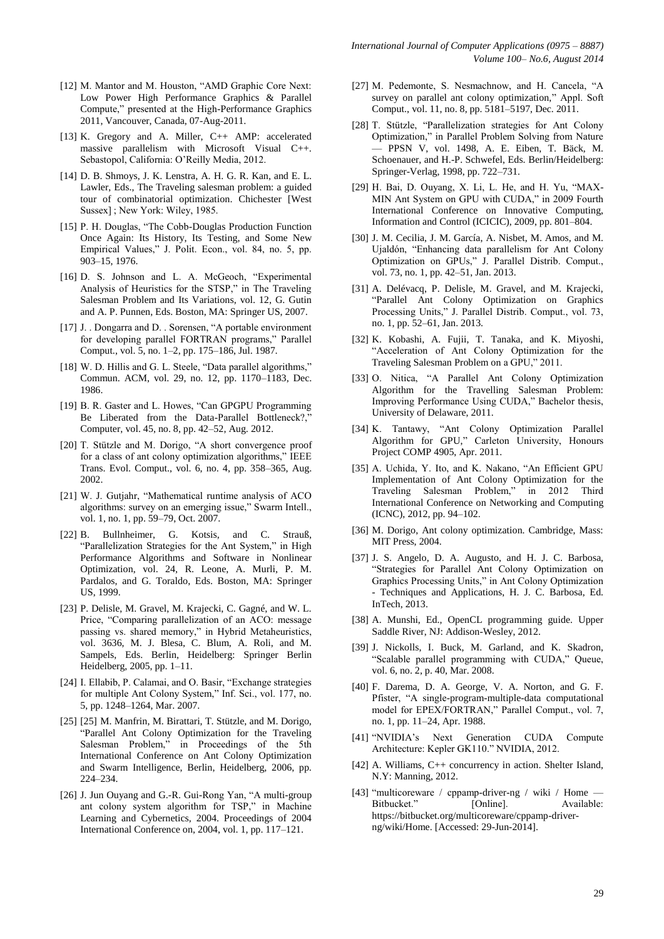- [12] M. Mantor and M. Houston, "AMD Graphic Core Next: Low Power High Performance Graphics & Parallel Compute," presented at the High-Performance Graphics 2011, Vancouver, Canada, 07-Aug-2011.
- [13] K. Gregory and A. Miller, C++ AMP: accelerated massive parallelism with Microsoft Visual C++. Sebastopol, California: O'Reilly Media, 2012.
- [14] D. B. Shmoys, J. K. Lenstra, A. H. G. R. Kan, and E. L. Lawler, Eds., The Traveling salesman problem: a guided tour of combinatorial optimization. Chichester [West Sussex] ; New York: Wiley, 1985.
- [15] P. H. Douglas, "The Cobb-Douglas Production Function Once Again: Its History, Its Testing, and Some New Empirical Values," J. Polit. Econ., vol. 84, no. 5, pp. 903–15, 1976.
- [16] D. S. Johnson and L. A. McGeoch, "Experimental Analysis of Heuristics for the STSP," in The Travelin Salesman Problem and Its Variations, vol. 12, G. Gutin and A. P. Punnen, Eds. Boston, MA: Springer US, 2007.
- [17] J. . Dongarra and D. . Sorensen, "A portable environment for developing parallel FORTRAN programs," Parallel Comput., vol. 5, no. 1–2, pp. 175–186, Jul. 1987.
- [18] W. D. Hillis and G. L. Steele, "Data parallel algorithms," Commun. ACM, vol. 29, no. 12, pp. 1170–1183, Dec. 1986.
- [19] B. R. Gaster and L. Howes, "Can GPGPU Programming Be Liberated from the Data-Parallel Bottleneck? Computer, vol. 45, no. 8, pp. 42–52, Aug. 2012.
- [20] T. Stützle and M. Dorigo, "A short convergence proof for a class of ant colony optimization algorithms," IEEE Trans. Evol. Comput., vol. 6, no. 4, pp. 358–365, Aug. 2002.
- [21] W. J. Gutjahr, "Mathematical runtime analysis of ACO algorithms: survey on an emerging issue," Swarm Intell., vol. 1, no. 1, pp. 59–79, Oct. 2007.
- [22] B. Bullnheimer, G. Kotsis, and C. Strauß, "Parallelization Strategies for the Ant System," in High Performance Algorithms and Software in Nonlinear Optimization, vol. 24, R. Leone, A. Murli, P. M. Pardalos, and G. Toraldo, Eds. Boston, MA: Springer US, 1999.
- [23] P. Delisle, M. Gravel, M. Krajecki, C. Gagné, and W. L. Price, "Comparing parallelization of an ACO: message passing vs. shared memory," in Hybrid Metaheuristics, vol. 3636, M. J. Blesa, C. Blum, A. Roli, and M. Sampels, Eds. Berlin, Heidelberg: Springer Berlin Heidelberg, 2005, pp. 1–11.
- [24] I. Ellabib, P. Calamai, and O. Basir, "Exchange strategies for multiple Ant Colony System," Inf. Sci., vol. 177, no. 5, pp. 1248–1264, Mar. 2007.
- [25] [25] M. Manfrin, M. Birattari, T. Stützle, and M. Dorigo, "Parallel Ant Colony Optimization for the Traveling Salesman Problem," in Proceedings of the 5th International Conference on Ant Colony Optimization and Swarm Intelligence, Berlin, Heidelberg, 2006, pp. 224–234.
- [26] J. Jun Ouyang and G.-R. Gui-Rong Yan, "A multi-group ant colony system algorithm for TSP," in Machine Learning and Cybernetics, 2004. Proceedings of 2004 International Conference on, 2004, vol. 1, pp. 117–121.
- [27] M. Pedemonte, S. Nesmachnow, and H. Cancela, "A survey on parallel ant colony optimization," Appl. Soft Comput., vol. 11, no. 8, pp. 5181–5197, Dec. 2011.
- [28] T. Stützle, "Parallelization strategies for Ant Colony Optimization," in Parallel Problem Solving from Nature — PPSN V, vol. 1498, A. E. Eiben, T. Bäck, M. Schoenauer, and H.-P. Schwefel, Eds. Berlin/Heidelberg: Springer-Verlag, 1998, pp. 722–731.
- [29] H. Bai, D. Ouyang, X. Li, L. He, and H. Yu, "MAX-MIN Ant System on GPU with CUDA," in 2009 Fourth International Conference on Innovative Computing, Information and Control (ICICIC), 2009, pp. 801–804.
- [30] J. M. Cecilia, J. M. García, A. Nisbet, M. Amos, and M. Ujaldón, "Enhancing data parallelism for Ant Colony Optimization on GPUs," J. Parallel Distrib. Comput., vol. 73, no. 1, pp. 42–51, Jan. 2013.
- [31] A. Delévacq, P. Delisle, M. Gravel, and M. Krajecki, "Parallel Ant Colony Optimization on Graphics Processing Units," J. Parallel Distrib. Comput., vol. 73, no. 1, pp. 52–61, Jan. 2013.
- [32] K. Kobashi, A. Fujii, T. Tanaka, and K. Miyoshi, "Acceleration of Ant Colony Optimization for the Traveling Salesman Problem on a GPU," 2011.
- [33] O. Nitica, "A Parallel Ant Colony Optimization Algorithm for the Travelling Salesman Problem: Improving Performance Using CUDA," Bachelor thesis, University of Delaware, 2011.
- [34] K. Tantawy, "Ant Colony Optimization Parallel Algorithm for GPU," Carleton University, Honours Project COMP 4905, Apr. 2011.
- [35] A. Uchida, Y. Ito, and K. Nakano, "An Efficient GPU Implementation of Ant Colony Optimization for the Traveling Salesman Problem," in 2012 Third International Conference on Networking and Computing (ICNC), 2012, pp. 94–102.
- [36] M. Dorigo, Ant colony optimization. Cambridge, Mass: MIT Press, 2004.
- [37] J. S. Angelo, D. A. Augusto, and H. J. C. Barbosa, "Strategies for Parallel Ant Colony Optimization on Graphics Processing Units," in Ant Colony Optimization - Techniques and Applications, H. J. C. Barbosa, Ed. InTech, 2013.
- [38] A. Munshi, Ed., OpenCL programming guide. Upper Saddle River, NJ: Addison-Wesley, 2012.
- [39] J. Nickolls, I. Buck, M. Garland, and K. Skadron, "Scalable parallel programming with CUDA," Queue, vol. 6, no. 2, p. 40, Mar. 2008.
- [40] F. Darema, D. A. George, V. A. Norton, and G. F. Pfister, "A single-program-multiple-data computational model for EPEX/FORTRAN," Parallel Comput., vol. 7, no. 1, pp. 11–24, Apr. 1988.
- [41] "NVIDIA's Next Generation CUDA Compute Architecture: Kepler GK110." NVIDIA, 2012.
- [42] A. Williams, C++ concurrency in action. Shelter Island, N.Y: Manning, 2012.
- [43] "multicoreware / cppamp-driver-ng / wiki / Home Bitbucket." [Online]. Available: https://bitbucket.org/multicoreware/cppamp-driverng/wiki/Home. [Accessed: 29-Jun-2014].